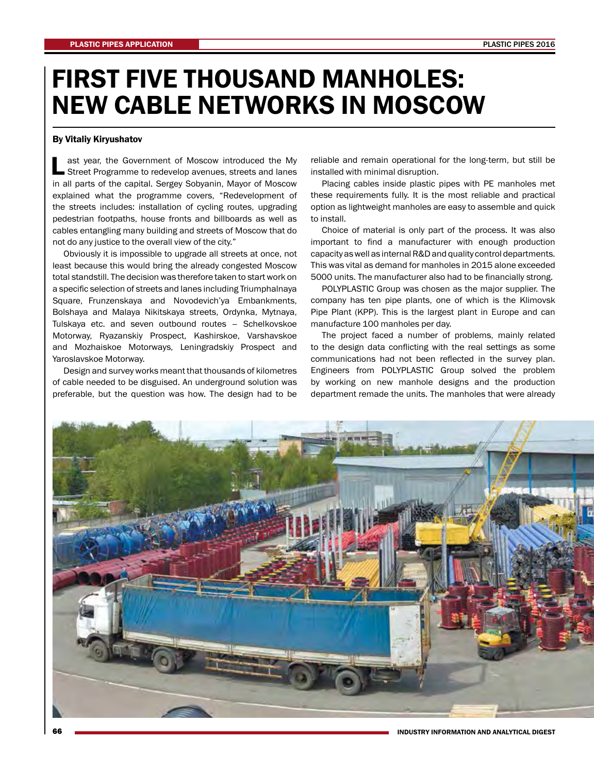## FIRST FIVE THOUSAND MANHOLES: NEW CABLE NETWORKS IN MOSCOW

## By Vitaliy Kiryushatov

L ast year, the Government of Moscow introduced the My Street Programme to redevelop avenues, streets and lanes in all parts of the capital. Sergey Sobyanin, Mayor of Moscow explained what the programme covers, "Redevelopment of the streets includes: installation of cycling routes, upgrading pedestrian footpaths, house fronts and billboards as well as cables entangling many building and streets of Moscow that do not do any justice to the overall view of the city."

Obviously it is impossible to upgrade all streets at once, not least because this would bring the already congested Moscow total standstill. The decision was therefore taken to start work on a specific selection of streets and lanes including Triumphalnaya Square, Frunzenskaya and Novodevich'ya Embankments, Bolshaya and Malaya Nikitskaya streets, Ordynka, Mytnaya, Tulskaya etc. and seven outbound routes – Schelkovskoe Motorway, Ryazanskiy Prospect, Kashirskoe, Varshavskoe and Mozhaiskoe Motorways, Leningradskiy Prospect and Yaroslavskoe Motorway.

Design and survey works meant that thousands of kilometres of cable needed to be disguised. An underground solution was preferable, but the question was how. The design had to be

reliable and remain operational for the long-term, but still be installed with minimal disruption.

Placing cables inside plastic pipes with PE manholes met these requirements fully. It is the most reliable and practical option as lightweight manholes are easy to assemble and quick to install.

Choice of material is only part of the process. It was also important to find a manufacturer with enough production capacity as well as internal R&D and quality control departments. This was vital as demand for manholes in 2015 alone exceeded 5000 units. The manufacturer also had to be financially strong.

POLYPLASTIC Group was chosen as the major supplier. The company has ten pipe plants, one of which is the Klimovsk Pipe Plant (KPP). This is the largest plant in Europe and can manufacture 100 manholes per day.

The project faced a number of problems, mainly related to the design data conflicting with the real settings as some communications had not been reflected in the survey plan. Engineers from POLYPLASTIC Group solved the problem by working on new manhole designs and the production department remade the units. The manholes that were already



INDUSTRY INFORMATION AND ANALYTICAL DIGEST